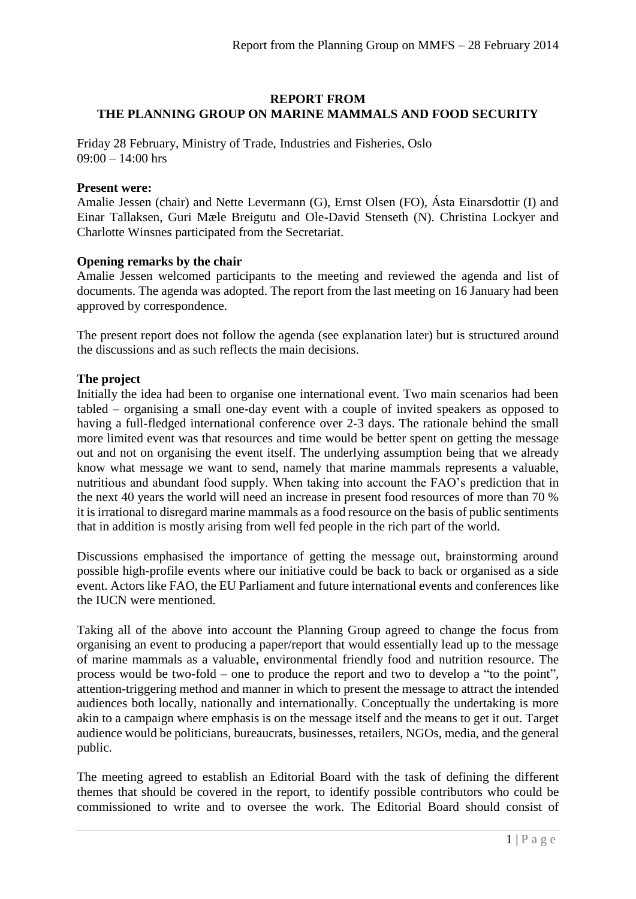# **REPORT FROM THE PLANNING GROUP ON MARINE MAMMALS AND FOOD SECURITY**

Friday 28 February, Ministry of Trade, Industries and Fisheries, Oslo  $09:00 - 14:00$  hrs

#### **Present were:**

Amalie Jessen (chair) and Nette Levermann (G), Ernst Olsen (FO), Ásta Einarsdottir (I) and Einar Tallaksen, Guri Mæle Breigutu and Ole-David Stenseth (N). Christina Lockyer and Charlotte Winsnes participated from the Secretariat.

## **Opening remarks by the chair**

Amalie Jessen welcomed participants to the meeting and reviewed the agenda and list of documents. The agenda was adopted. The report from the last meeting on 16 January had been approved by correspondence.

The present report does not follow the agenda (see explanation later) but is structured around the discussions and as such reflects the main decisions.

## **The project**

Initially the idea had been to organise one international event. Two main scenarios had been tabled – organising a small one-day event with a couple of invited speakers as opposed to having a full-fledged international conference over 2-3 days. The rationale behind the small more limited event was that resources and time would be better spent on getting the message out and not on organising the event itself. The underlying assumption being that we already know what message we want to send, namely that marine mammals represents a valuable, nutritious and abundant food supply. When taking into account the FAO's prediction that in the next 40 years the world will need an increase in present food resources of more than 70 % it is irrational to disregard marine mammals as a food resource on the basis of public sentiments that in addition is mostly arising from well fed people in the rich part of the world.

Discussions emphasised the importance of getting the message out, brainstorming around possible high-profile events where our initiative could be back to back or organised as a side event. Actors like FAO, the EU Parliament and future international events and conferences like the IUCN were mentioned.

Taking all of the above into account the Planning Group agreed to change the focus from organising an event to producing a paper/report that would essentially lead up to the message of marine mammals as a valuable, environmental friendly food and nutrition resource. The process would be two-fold – one to produce the report and two to develop a "to the point", attention-triggering method and manner in which to present the message to attract the intended audiences both locally, nationally and internationally. Conceptually the undertaking is more akin to a campaign where emphasis is on the message itself and the means to get it out. Target audience would be politicians, bureaucrats, businesses, retailers, NGOs, media, and the general public.

The meeting agreed to establish an Editorial Board with the task of defining the different themes that should be covered in the report, to identify possible contributors who could be commissioned to write and to oversee the work. The Editorial Board should consist of